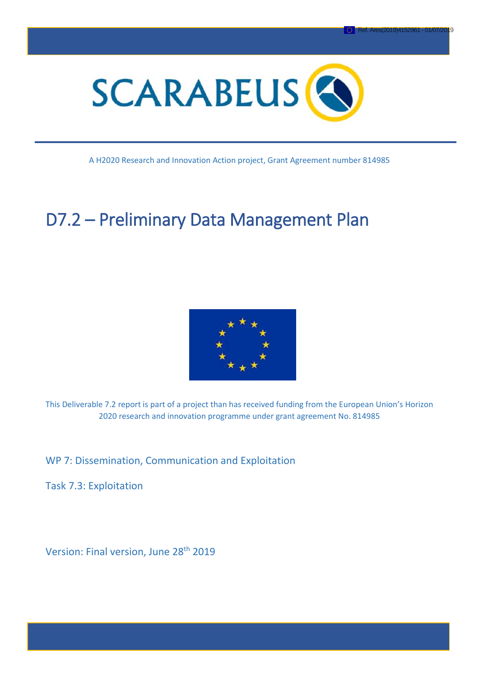

A H2020 Research and Innovation Action project, Grant Agreement number 814985

# D7.2 – Preliminary Data Management Plan



This Deliverable 7.2 report is part of a project than has received funding from the European Union's Horizon 2020 research and innovation programme under grant agreement No. 814985

WP 7: Dissemination, Communication and Exploitation

Task 7.3: Exploitation

Version: Final version, June 28<sup>th</sup> 2019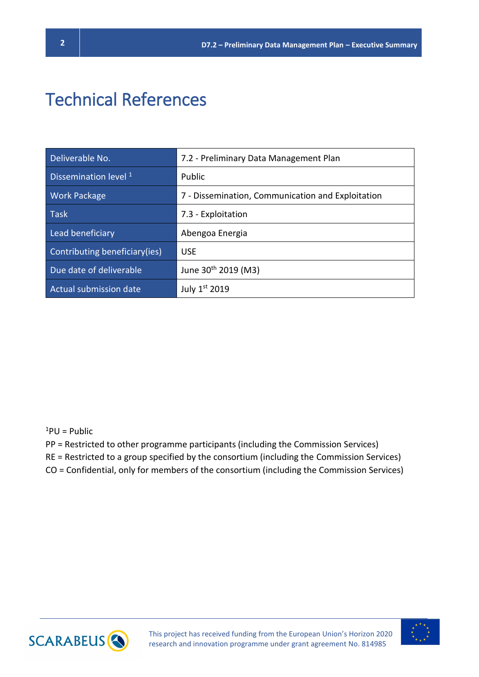# Technical References

| Deliverable No.               | 7.2 - Preliminary Data Management Plan            |
|-------------------------------|---------------------------------------------------|
| Dissemination level $1$       | Public                                            |
| <b>Work Package</b>           | 7 - Dissemination, Communication and Exploitation |
| <b>Task</b>                   | 7.3 - Exploitation                                |
| Lead beneficiary              | Abengoa Energia                                   |
| Contributing beneficiary(ies) | <b>USE</b>                                        |
| Due date of deliverable       | June 30 <sup>th</sup> 2019 (M3)                   |
| Actual submission date        | July 1st 2019                                     |

#### $1$ PU = Public

- PP = Restricted to other programme participants (including the Commission Services)
- RE = Restricted to a group specified by the consortium (including the Commission Services)
- CO = Confidential, only for members of the consortium (including the Commission Services)



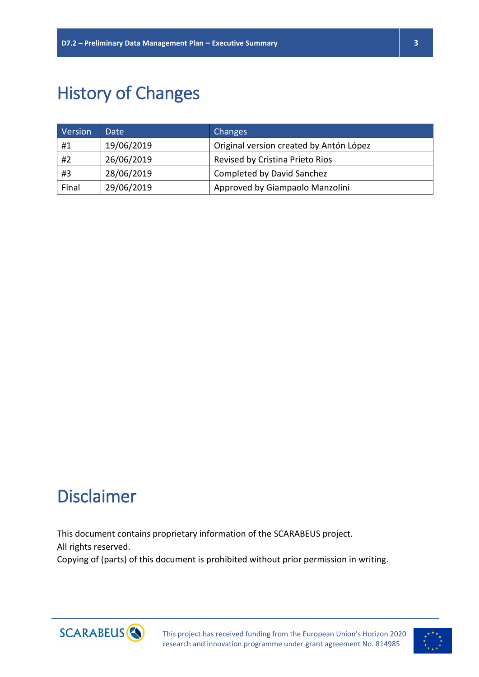# History of Changes

| Version | Date       | Changes                                 |
|---------|------------|-----------------------------------------|
| #1      | 19/06/2019 | Original version created by Antón López |
| #2      | 26/06/2019 | Revised by Cristina Prieto Rios         |
| #3      | 28/06/2019 | <b>Completed by David Sanchez</b>       |
| Final   | 29/06/2019 | Approved by Giampaolo Manzolini         |

# Disclaimer

This document contains proprietary information of the SCARABEUS project. All rights reserved. Copying of (parts) of this document is prohibited without prior permission in writing.



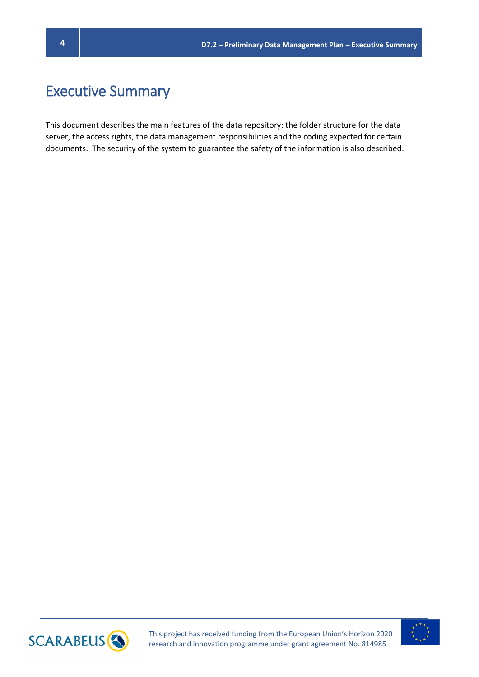## Executive Summary

This document describes the main features of the data repository: the folder structure for the data server, the access rights, the data management responsibilities and the coding expected for certain documents. The security of the system to guarantee the safety of the information is also described.



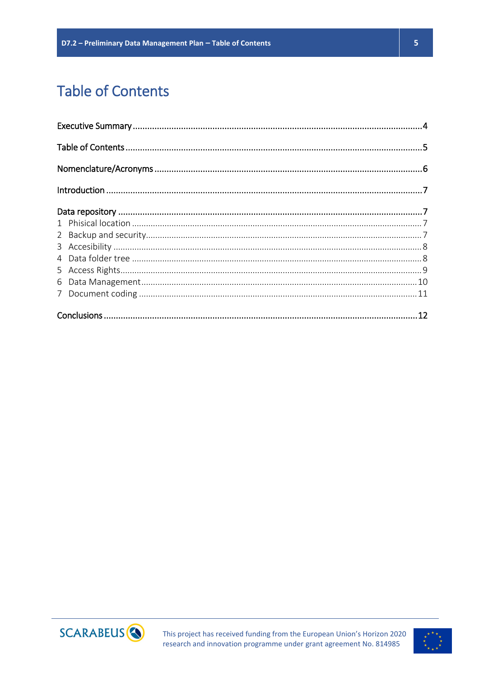# **Table of Contents**





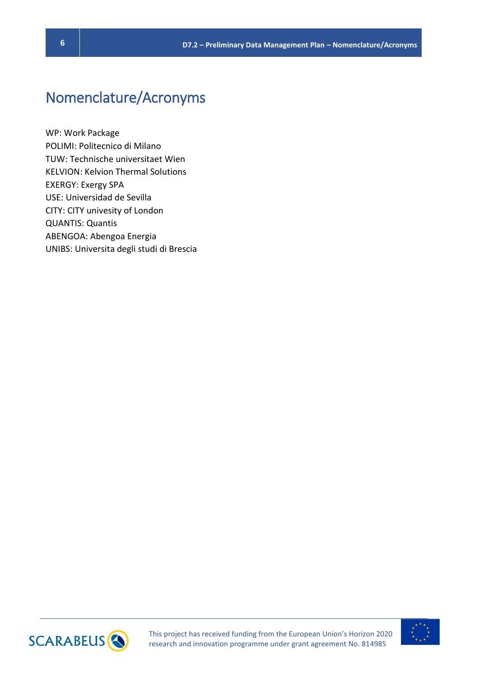## Nomenclature/Acronyms

WP: Work Package POLIMI: Politecnico di Milano TUW: Technische universitaet Wien KELVION: Kelvion Thermal Solutions EXERGY: Exergy SPA USE: Universidad de Sevilla CITY: CITY univesity of London QUANTIS: Quantis ABENGOA: Abengoa Energia UNIBS: Universita degli studi di Brescia



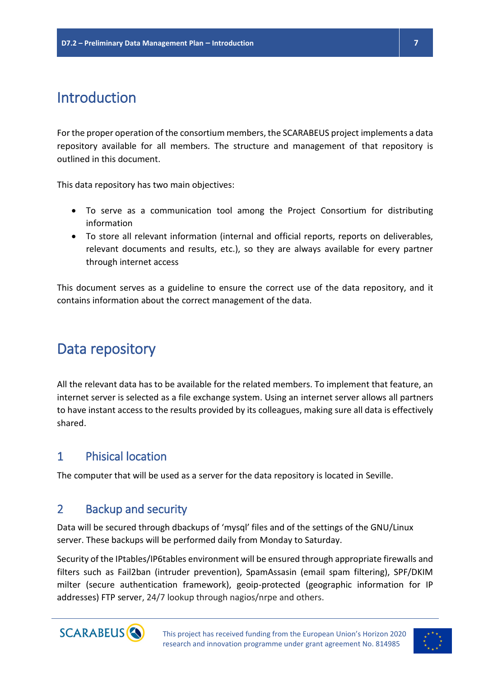## Introduction

For the proper operation of the consortium members, the SCARABEUS project implements a data repository available for all members. The structure and management of that repository is outlined in this document.

This data repository has two main objectives:

- To serve as a communication tool among the Project Consortium for distributing information
- To store all relevant information (internal and official reports, reports on deliverables, relevant documents and results, etc.), so they are always available for every partner through internet access

This document serves as a guideline to ensure the correct use of the data repository, and it contains information about the correct management of the data.

## Data repository

All the relevant data has to be available for the related members. To implement that feature, an internet server is selected as a file exchange system. Using an internet server allows all partners to have instant access to the results provided by its colleagues, making sure all data is effectively shared.

### 1 Phisical location

The computer that will be used as a server for the data repository is located in Seville.

### 2 Backup and security

Data will be secured through dbackups of 'mysql' files and of the settings of the GNU/Linux server. These backups will be performed daily from Monday to Saturday.

Security of the IPtables/IP6tables environment will be ensured through appropriate firewalls and filters such as Fail2ban (intruder prevention), SpamAssasin (email spam filtering), SPF/DKIM milter (secure authentication framework), geoip-protected (geographic information for IP addresses) FTP server, 24/7 lookup through nagios/nrpe and others.



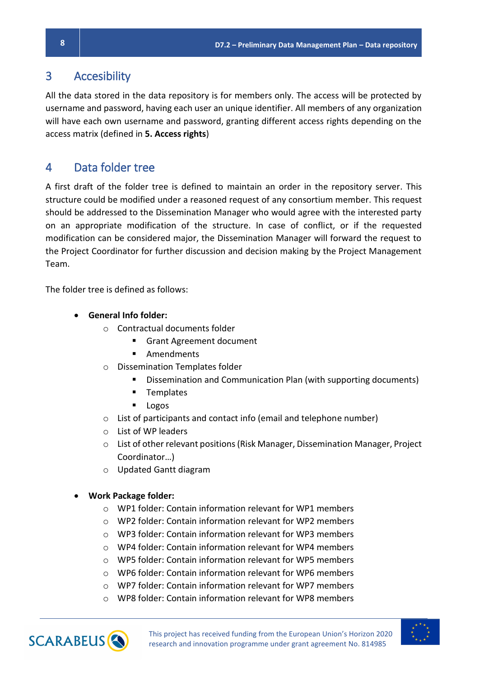#### 3 Accesibility

All the data stored in the data repository is for members only. The access will be protected by username and password, having each user an unique identifier. All members of any organization will have each own username and password, granting different access rights depending on the access matrix (defined in **5. Access rights**)

### 4 Data folder tree

A first draft of the folder tree is defined to maintain an order in the repository server. This structure could be modified under a reasoned request of any consortium member. This request should be addressed to the Dissemination Manager who would agree with the interested party on an appropriate modification of the structure. In case of conflict, or if the requested modification can be considered major, the Dissemination Manager will forward the request to the Project Coordinator for further discussion and decision making by the Project Management Team.

The folder tree is defined as follows:

- **General Info folder:** 
	- o Contractual documents folder
		- Grant Agreement document
		- Amendments
	- o Dissemination Templates folder
		- Dissemination and Communication Plan (with supporting documents)
		- Templates
		- **Logos**
	- o List of participants and contact info (email and telephone number)
	- o List of WP leaders
	- $\circ$  List of other relevant positions (Risk Manager, Dissemination Manager, Project Coordinator…)
	- o Updated Gantt diagram
- **Work Package folder:**
	- o WP1 folder: Contain information relevant for WP1 members
	- o WP2 folder: Contain information relevant for WP2 members
	- o WP3 folder: Contain information relevant for WP3 members
	- o WP4 folder: Contain information relevant for WP4 members
	- $\circ$  WP5 folder: Contain information relevant for WP5 members
	- o WP6 folder: Contain information relevant for WP6 members
	- o WP7 folder: Contain information relevant for WP7 members
	- o WP8 folder: Contain information relevant for WP8 members



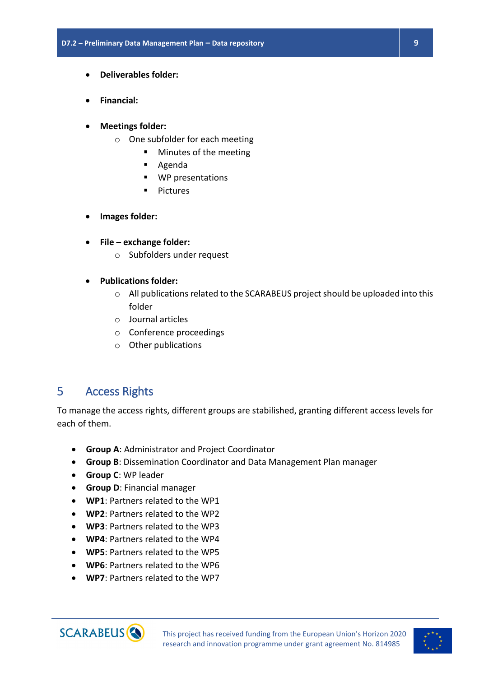- **Deliverables folder:**
- **Financial:**
- **Meetings folder:**
	- o One subfolder for each meeting
		- Minutes of the meeting
			- Agenda
			- WP presentations
			- **Pictures**
- **Images folder:**
- **File – exchange folder:**
	- o Subfolders under request
- **Publications folder:**
	- o All publications related to the SCARABEUS project should be uploaded into this folder
	- o Journal articles
	- o Conference proceedings
	- o Other publications

### 5 Access Rights

To manage the access rights, different groups are stabilished, granting different access levels for each of them.

- **Group A**: Administrator and Project Coordinator
- **Group B**: Dissemination Coordinator and Data Management Plan manager
- **Group C**: WP leader
- **Group D**: Financial manager
- **WP1**: Partners related to the WP1
- **WP2**: Partners related to the WP2
- **WP3**: Partners related to the WP3
- **WP4**: Partners related to the WP4
- **WP5**: Partners related to the WP5
- **WP6**: Partners related to the WP6
- **WP7**: Partners related to the WP7



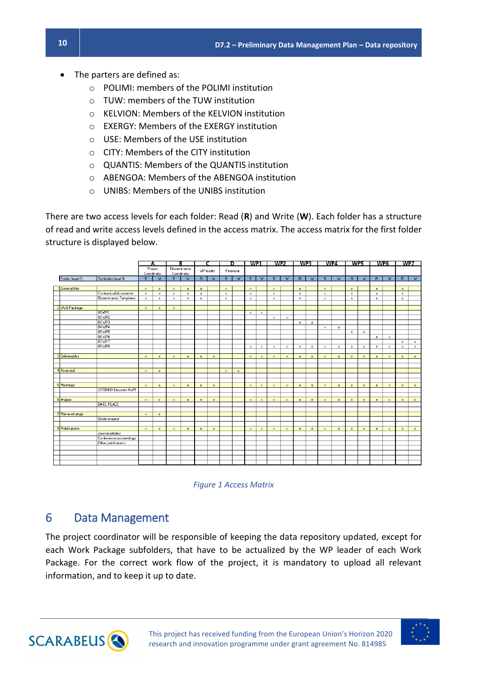- The parters are defined as:
	- o POLIMI: members of the POLIMI institution
	- o TUW: members of the TUW institution
	- o KELVION: Members of the KELVION institution
	- o EXERGY: Members of the EXERGY institution
	- o USE: Members of the USE institution
	- o CITY: Members of the CITY institution
	- o QUANTIS: Members of the QUANTIS institution
	- o ABENGOA: Members of the ABENGOA institution
	- o UNIBS: Members of the UNIBS institution

There are two access levels for each folder: Read (**R**) and Write (**W**). Each folder has a structure of read and write access levels defined in the access matrix. The access matrix for the first folder structure is displayed below.





#### 6 Data Management

The project coordinator will be responsible of keeping the data repository updated, except for each Work Package subfolders, that have to be actualized by the WP leader of each Work Package. For the correct work flow of the project, it is mandatory to upload all relevant information, and to keep it up to date.



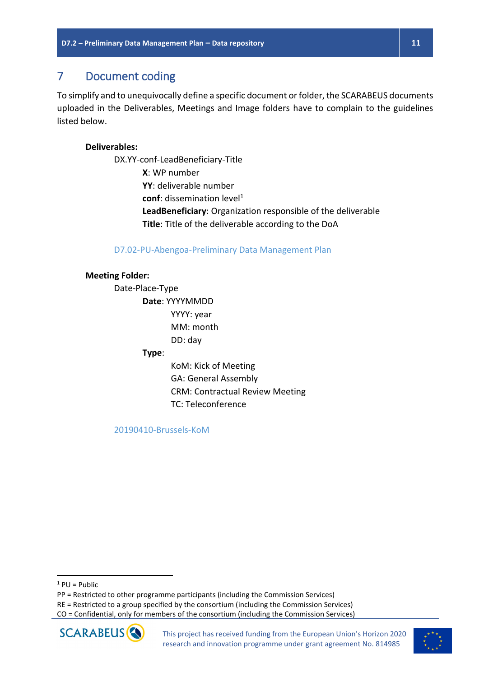### 7 Document coding

To simplify and to unequivocally define a specific document or folder, the SCARABEUS documents uploaded in the Deliverables, Meetings and Image folders have to complain to the guidelines listed below.

#### **Deliverables:**

DX.YY-conf-LeadBeneficiary-Title **X**: WP number **YY**: deliverable number conf: dissemination level<sup>1</sup> **LeadBeneficiary**: Organization responsible of the deliverable **Title**: Title of the deliverable according to the DoA

D7.02-PU-Abengoa-Preliminary Data Management Plan

#### **Meeting Folder:**

Date-Place-Type **Date**: YYYYMMDD YYYY: year MM: month DD: day **Type**:

> KoM: Kick of Meeting GA: General Assembly CRM: Contractual Review Meeting TC: Teleconference

20190410-Brussels-KoM

 $\overline{\phantom{a}}$ 

CO = Confidential, only for members of the consortium (including the Commission Services)





 $1$  PU = Public

PP = Restricted to other programme participants (including the Commission Services)

RE = Restricted to a group specified by the consortium (including the Commission Services)